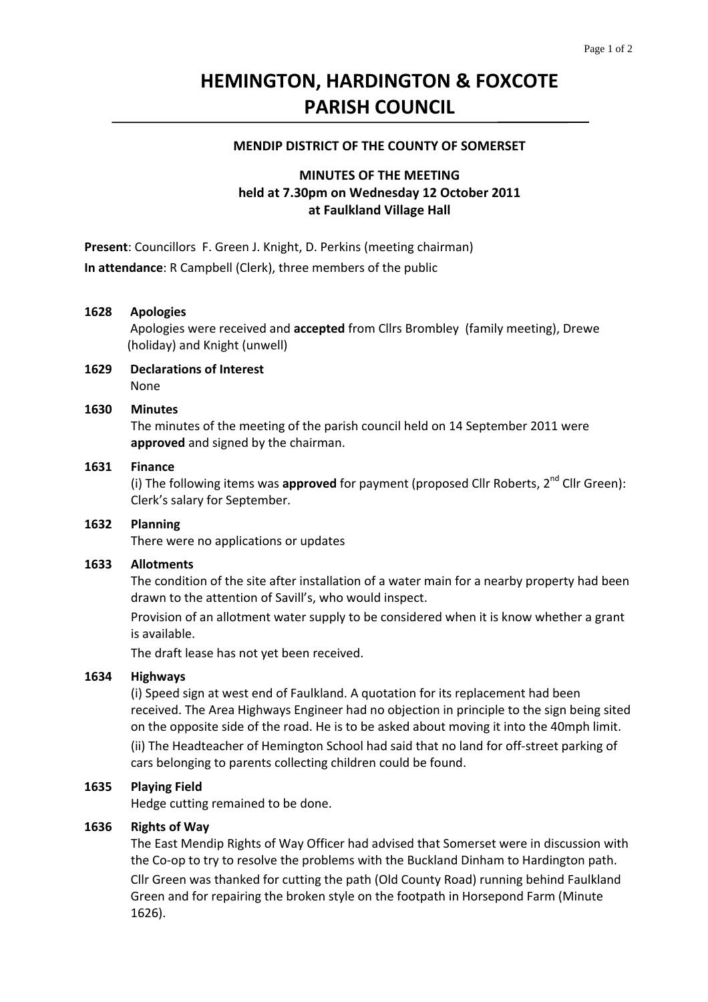# **HEMINGTON, HARDINGTON & FOXCOTE PARISH COUNCIL**

#### **MENDIP DISTRICT OF THE COUNTY OF SOMERSET**

# **MINUTES OF THE MEETING held at 7.30pm on Wednesday 12 October 2011 at Faulkland Village Hall**

**Present**: Councillors F. Green J. Knight, D. Perkins (meeting chairman) **In attendance**: R Campbell (Clerk), three members of the public

#### **1628 Apologies**

Apologies were received and **accepted** from Cllrs Brombley (family meeting), Drewe (holiday) and Knight (unwell)

**1629 Declarations of Interest** None

#### **1630 Minutes**

 The minutes of the meeting of the parish council held on 14 September 2011 were **approved** and signed by the chairman.

## **1631 Finance**

(i) The following items was **approved** for payment (proposed Cllr Roberts, 2<sup>nd</sup> Cllr Green): Clerk's salary for September.

## **1632 Planning**

There were no applications or updates

#### **1633 Allotments**

The condition of the site after installation of a water main for a nearby property had been drawn to the attention of Savill's, who would inspect.

 Provision of an allotment water supply to be considered when it is know whether a grant is available.

The draft lease has not yet been received.

## **1634 Highways**

(i) Speed sign at west end of Faulkland. A quotation for its replacement had been received. The Area Highways Engineer had no objection in principle to the sign being sited on the opposite side of the road. He is to be asked about moving it into the 40mph limit.  (ii) The Headteacher of Hemington School had said that no land for off‐street parking of cars belonging to parents collecting children could be found.

#### **1635 Playing Field**

Hedge cutting remained to be done.

## **1636 Rights of Way**

The East Mendip Rights of Way Officer had advised that Somerset were in discussion with the Co-op to try to resolve the problems with the Buckland Dinham to Hardington path.  Cllr Green was thanked for cutting the path (Old County Road) running behind Faulkland Green and for repairing the broken style on the footpath in Horsepond Farm (Minute 1626).